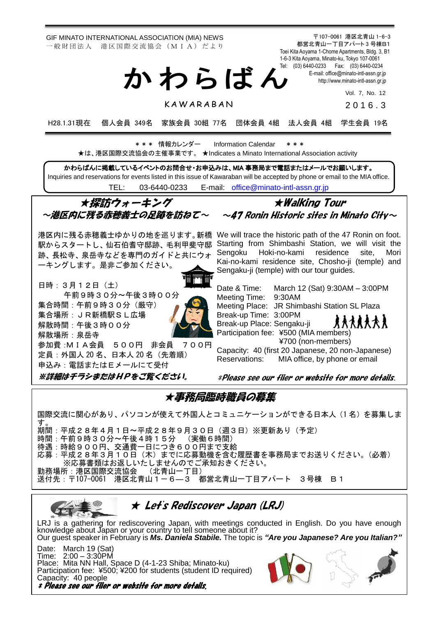GIF MINATO INTERNATIONAL ASSOCIATION (MIA) NEWS 一 般 財 団 法 人 港 区 国 際 交 流 協 会 (M I A) だ よ り

〒107-0061 港区北青山 1-6-3 都営北青山一丁目アパート 3 号棟B1 Toei Kita Aoyama 1-Chome Apartments, Bldg. 3, B1 1-6-3 Kita Aoyama, Minato-ku, Tokyo 107-0061 Tel: (03) 6440-0233 Fax: (03) 6440-0234 E-mail[: office@minato-intl-assn.gr.jp](mailto:office@minato-intl-assn.gr.jp) [http://www.minato-intl-assn.gr.jp](http://www.minato-intl-assn.gr.jp/) か わ ら ば ん

Vol. 7, No. 12

K A W A R A B A N

201 6 . 3

H28.1.31現在 個人会員 349名 家族会員 30組 77名 団体会員 4組 法人会員 4組 学生会員 19名

\* \* \* 情報カレンダー Information Calendar \* \* \* ★は、港区国際交流協会の主催事業です。 ★Indicates a Minato International Association activity

かわらばんに掲載しているイベントのお問合せ・お申込みは、MIA 事務局まで電話またはメールでお願いします。 Inquiries and reservations for events listed in this issue of Kawaraban will be accepted by phone or email to the MIA office. TEL: [03-6440-0233](mailto:TEL:%0903-6440-0233) E-mail: [office@minato-intl-assn.gr.jp](mailto:office@minato-intl-assn.gr.jp)

★探訪ウォーキング ~港区内に残る赤穂義士の足跡を訪ねて~

跡、長松寺、泉岳寺などを専門のガイドと共にウォ ーキングします。是非ご参加ください。

日時:3月12日(土) 午前9時30分~午後3時00分 集合時間:午前9時30分(厳守) 集合場所:JR新橋駅SL広場 解散時間:午後3時00分 解散場所:泉岳寺 参加費:MIA会員 500円 非会員 700円 定員:外国人 20 名、日本人 20 名(先着順) 申込み:電話またはEメールにて受付



★Walking Tour  $\sim$ 47 Ronin Historic sites in Minato City $\sim$ 

港区内に残る赤穂義士ゆかりの地を巡ります。新橋 We will trace the historic path of the 47 Ronin on foot. 駅からスタートし、仙石伯耆守邸跡、毛利甲斐守邸 Starting from Shimbashi Station, we will visit the Sengoku Hoki-no-kami residence site, Mori Kai-no-kami residence site, Chosho-ji (temple) and Sengaku-ji (temple) with our tour guides.

> Date & Time: March 12 (Sat) 9:30AM – 3:00PM Meeting Time: 9:30AM Meeting Place: JR Shimbashi Station SL Plaza Break-up Time: 3:00PM **RAARAAR** Break-up Place: Sengaku-ji Participation fee: ¥500 (MIA members) ¥700 (non-members)

> Capacity: 40 (first 20 Japanese, 20 non-Japanese) Reservations: MIA office, by phone or email

※詳細はチラシまたはHPをご覧ください。

\*Please see our flier or website for more details.

★事務局臨時職員の募集

国際交流に関心があり、パソコンが使えて外国人とコミュニケーションができる日本人(1 名)を募集しま す。 期間:平成28年4月1日~平成28年9月30日(週3日)※更新あり(予定) 時間:午前9時30分~午後4時15分 (実働6時間) 待遇:時給900円、交通費一日につき600円まで支給 応募:平成28年3月10日(木)までに応募動機を含む履歴書を事務局までお送りください。(必着) ※応募書類はお返しいたしませんのでご承知おきください。<br>所:港区国際交流協会 (北青山一丁目) 勤務場所:港区国際交流協会 送付先:〒107-0061 港区北青山1-6―3 都営北青山一丁目アパート 3号棟 B1



LRJ is a gathering for rediscovering Japan, with meetings conducted in English. Do you have enough knowledge about Japan or your country to tell someone about it? Our guest speaker in February is *Ms. Daniela Stabile.* The topic is *"Are you Japanese? Are you Italian?"*

Date: March 19 (Sat) Time: 2:00 – 3:30PM Place: Mita NN Hall, Space D (4-1-23 Shiba; Minato-ku) Participation fee: ¥500; ¥200 for students (student ID required) Capacity: 40 people \* Please see our flier or website for more details.